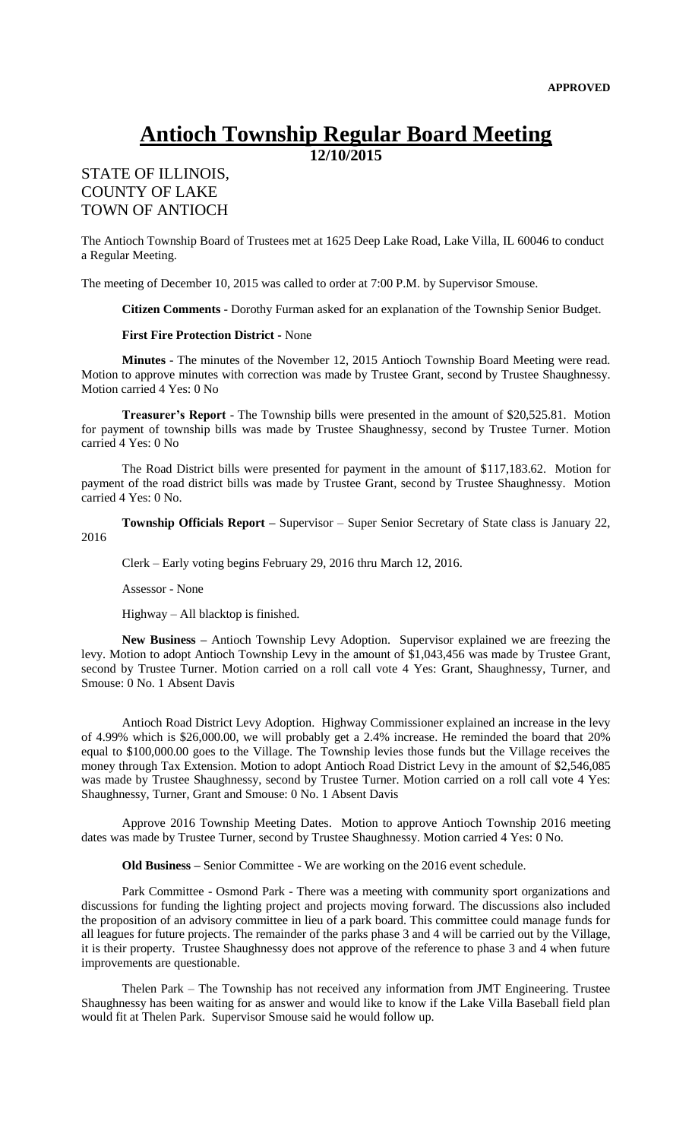## **Antioch Township Regular Board Meeting**

**12/10/2015**

## STATE OF ILLINOIS, COUNTY OF LAKE TOWN OF ANTIOCH

The Antioch Township Board of Trustees met at 1625 Deep Lake Road, Lake Villa, IL 60046 to conduct a Regular Meeting.

The meeting of December 10, 2015 was called to order at 7:00 P.M. by Supervisor Smouse.

**Citizen Comments** - Dorothy Furman asked for an explanation of the Township Senior Budget.

## **First Fire Protection District -** None

**Minutes** - The minutes of the November 12, 2015 Antioch Township Board Meeting were read. Motion to approve minutes with correction was made by Trustee Grant, second by Trustee Shaughnessy. Motion carried 4 Yes: 0 No

**Treasurer's Report** - The Township bills were presented in the amount of \$20,525.81. Motion for payment of township bills was made by Trustee Shaughnessy, second by Trustee Turner. Motion carried 4 Yes: 0 No

The Road District bills were presented for payment in the amount of \$117,183.62. Motion for payment of the road district bills was made by Trustee Grant, second by Trustee Shaughnessy. Motion carried 4 Yes: 0 No.

**Township Officials Report –** Supervisor – Super Senior Secretary of State class is January 22,

2016

Clerk – Early voting begins February 29, 2016 thru March 12, 2016.

Assessor - None

Highway – All blacktop is finished.

**New Business –** Antioch Township Levy Adoption. Supervisor explained we are freezing the levy. Motion to adopt Antioch Township Levy in the amount of \$1,043,456 was made by Trustee Grant, second by Trustee Turner. Motion carried on a roll call vote 4 Yes: Grant, Shaughnessy, Turner, and Smouse: 0 No. 1 Absent Davis

Antioch Road District Levy Adoption. Highway Commissioner explained an increase in the levy of 4.99% which is \$26,000.00, we will probably get a 2.4% increase. He reminded the board that 20% equal to \$100,000.00 goes to the Village. The Township levies those funds but the Village receives the money through Tax Extension. Motion to adopt Antioch Road District Levy in the amount of \$2,546,085 was made by Trustee Shaughnessy, second by Trustee Turner. Motion carried on a roll call vote 4 Yes: Shaughnessy, Turner, Grant and Smouse: 0 No. 1 Absent Davis

Approve 2016 Township Meeting Dates. Motion to approve Antioch Township 2016 meeting dates was made by Trustee Turner, second by Trustee Shaughnessy. Motion carried 4 Yes: 0 No.

**Old Business –** Senior Committee - We are working on the 2016 event schedule.

Park Committee - Osmond Park - There was a meeting with community sport organizations and discussions for funding the lighting project and projects moving forward. The discussions also included the proposition of an advisory committee in lieu of a park board. This committee could manage funds for all leagues for future projects. The remainder of the parks phase 3 and 4 will be carried out by the Village, it is their property. Trustee Shaughnessy does not approve of the reference to phase 3 and 4 when future improvements are questionable.

Thelen Park – The Township has not received any information from JMT Engineering. Trustee Shaughnessy has been waiting for as answer and would like to know if the Lake Villa Baseball field plan would fit at Thelen Park. Supervisor Smouse said he would follow up.